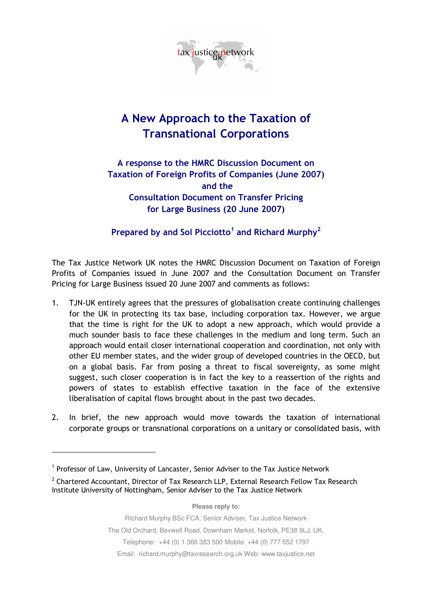

## A New Approach to the Taxation of Transnational Corporations

## A response to the HMRC Discussion Document on Taxation of Foreign Profits of Companies (June 2007) and the Consultation Document on Transfer Pricing for Large Business (20 June 2007)

## Prepared by and Sol Picciotto<sup>1</sup> and Richard Murphy<sup>2</sup>

The Tax Justice Network UK notes the HMRC Discussion Document on Taxation of Foreign Profits of Companies issued in June 2007 and the Consultation Document on Transfer Pricing for Large Business issued 20 June 2007 and comments as follows:

- 1. TJN-UK entirely agrees that the pressures of globalisation create continuing challenges for the UK in protecting its tax base, including corporation tax. However, we argue that the time is right for the UK to adopt a new approach, which would provide a much sounder basis to face these challenges in the medium and long term. Such an approach would entail closer international cooperation and coordination, not only with other EU member states, and the wider group of developed countries in the OECD, but on a global basis. Far from posing a threat to fiscal sovereignty, as some might suggest, such closer cooperation is in fact the key to a reassertion of the rights and powers of states to establish effective taxation in the face of the extensive liberalisation of capital flows brought about in the past two decades.
- 2. In brief, the new approach would move towards the taxation of international corporate groups or transnational corporations on a unitary or consolidated basis, with

-

**Please reply to:** 

Richard Murphy BSc FCA, Senior Adviser, Tax Justice Network

The Old Orchard, Bexwell Road, Downham Market, Norfolk, PE38 9LJ, UK.

Telephone: +44 (0) 1 366 383 500 Mobile: +44 (0) 777 552 1797

Email: richard.murphy@taxresearch.org.uk Web: www.taxjustice.net

<sup>&</sup>lt;sup>1</sup> Professor of Law, University of Lancaster, Senior Adviser to the Tax Justice Network

 $2$  Chartered Accountant, Director of Tax Research LLP, External Research Fellow Tax Research Institute University of Nottingham, Senior Adviser to the Tax Justice Network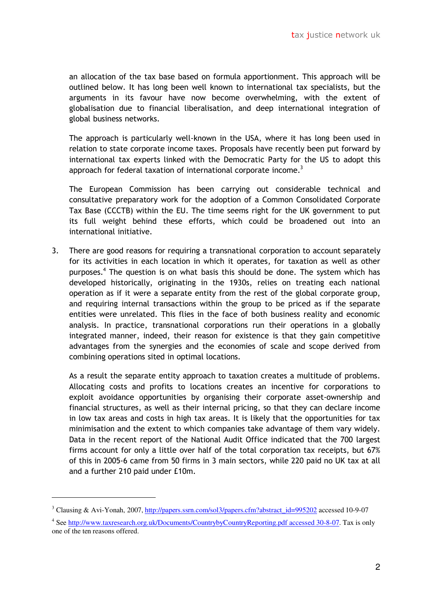an allocation of the tax base based on formula apportionment. This approach will be outlined below. It has long been well known to international tax specialists, but the arguments in its favour have now become overwhelming, with the extent of globalisation due to financial liberalisation, and deep international integration of global business networks.

The approach is particularly well-known in the USA, where it has long been used in relation to state corporate income taxes. Proposals have recently been put forward by international tax experts linked with the Democratic Party for the US to adopt this approach for federal taxation of international corporate income.<sup>3</sup>

The European Commission has been carrying out considerable technical and consultative preparatory work for the adoption of a Common Consolidated Corporate Tax Base (CCCTB) within the EU. The time seems right for the UK government to put its full weight behind these efforts, which could be broadened out into an international initiative.

3. There are good reasons for requiring a transnational corporation to account separately for its activities in each location in which it operates, for taxation as well as other purposes.<sup>4</sup> The question is on what basis this should be done. The system which has developed historically, originating in the 1930s, relies on treating each national operation as if it were a separate entity from the rest of the global corporate group, and requiring internal transactions within the group to be priced as if the separate entities were unrelated. This flies in the face of both business reality and economic analysis. In practice, transnational corporations run their operations in a globally integrated manner, indeed, their reason for existence is that they gain competitive advantages from the synergies and the economies of scale and scope derived from combining operations sited in optimal locations.

As a result the separate entity approach to taxation creates a multitude of problems. Allocating costs and profits to locations creates an incentive for corporations to exploit avoidance opportunities by organising their corporate asset-ownership and financial structures, as well as their internal pricing, so that they can declare income in low tax areas and costs in high tax areas. It is likely that the opportunities for tax minimisation and the extent to which companies take advantage of them vary widely. Data in the recent report of the National Audit Office indicated that the 700 largest firms account for only a little over half of the total corporation tax receipts, but 67% of this in 2005-6 came from 50 firms in 3 main sectors, while 220 paid no UK tax at all and a further 210 paid under £10m.

<u>.</u>

<sup>&</sup>lt;sup>3</sup> Clausing & Avi-Yonah, 2007, http://papers.ssrn.com/sol3/papers.cfm?abstract\_id=995202 accessed 10-9-07

<sup>&</sup>lt;sup>4</sup> See http://www.taxresearch.org.uk/Documents/CountrybyCountryReporting.pdf accessed 30-8-07. Tax is only one of the ten reasons offered.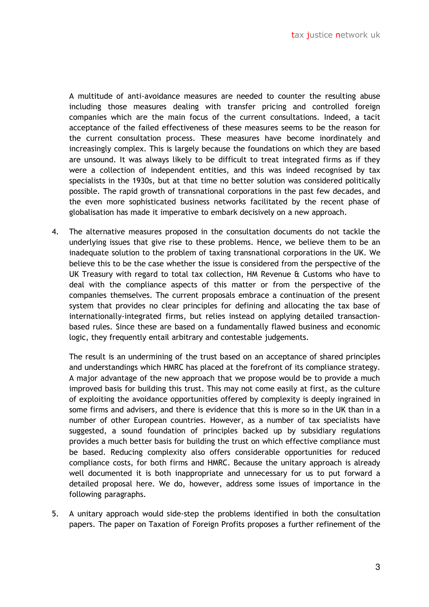A multitude of anti-avoidance measures are needed to counter the resulting abuse including those measures dealing with transfer pricing and controlled foreign companies which are the main focus of the current consultations. Indeed, a tacit acceptance of the failed effectiveness of these measures seems to be the reason for the current consultation process. These measures have become inordinately and increasingly complex. This is largely because the foundations on which they are based are unsound. It was always likely to be difficult to treat integrated firms as if they were a collection of independent entities, and this was indeed recognised by tax specialists in the 1930s, but at that time no better solution was considered politically possible. The rapid growth of transnational corporations in the past few decades, and the even more sophisticated business networks facilitated by the recent phase of globalisation has made it imperative to embark decisively on a new approach.

4. The alternative measures proposed in the consultation documents do not tackle the underlying issues that give rise to these problems. Hence, we believe them to be an inadequate solution to the problem of taxing transnational corporations in the UK. We believe this to be the case whether the issue is considered from the perspective of the UK Treasury with regard to total tax collection, HM Revenue & Customs who have to deal with the compliance aspects of this matter or from the perspective of the companies themselves. The current proposals embrace a continuation of the present system that provides no clear principles for defining and allocating the tax base of internationally-integrated firms, but relies instead on applying detailed transactionbased rules. Since these are based on a fundamentally flawed business and economic logic, they frequently entail arbitrary and contestable judgements.

The result is an undermining of the trust based on an acceptance of shared principles and understandings which HMRC has placed at the forefront of its compliance strategy. A major advantage of the new approach that we propose would be to provide a much improved basis for building this trust. This may not come easily at first, as the culture of exploiting the avoidance opportunities offered by complexity is deeply ingrained in some firms and advisers, and there is evidence that this is more so in the UK than in a number of other European countries. However, as a number of tax specialists have suggested, a sound foundation of principles backed up by subsidiary regulations provides a much better basis for building the trust on which effective compliance must be based. Reducing complexity also offers considerable opportunities for reduced compliance costs, for both firms and HMRC. Because the unitary approach is already well documented it is both inappropriate and unnecessary for us to put forward a detailed proposal here. We do, however, address some issues of importance in the following paragraphs.

5. A unitary approach would side-step the problems identified in both the consultation papers. The paper on Taxation of Foreign Profits proposes a further refinement of the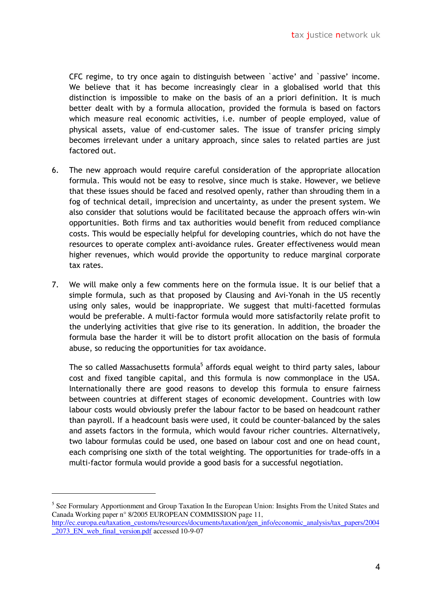CFC regime, to try once again to distinguish between `active' and `passive' income. We believe that it has become increasingly clear in a globalised world that this distinction is impossible to make on the basis of an a priori definition. It is much better dealt with by a formula allocation, provided the formula is based on factors which measure real economic activities, i.e. number of people employed, value of physical assets, value of end-customer sales. The issue of transfer pricing simply becomes irrelevant under a unitary approach, since sales to related parties are just factored out.

- 6. The new approach would require careful consideration of the appropriate allocation formula. This would not be easy to resolve, since much is stake. However, we believe that these issues should be faced and resolved openly, rather than shrouding them in a fog of technical detail, imprecision and uncertainty, as under the present system. We also consider that solutions would be facilitated because the approach offers win-win opportunities. Both firms and tax authorities would benefit from reduced compliance costs. This would be especially helpful for developing countries, which do not have the resources to operate complex anti-avoidance rules. Greater effectiveness would mean higher revenues, which would provide the opportunity to reduce marginal corporate tax rates.
- 7. We will make only a few comments here on the formula issue. It is our belief that a simple formula, such as that proposed by Clausing and Avi-Yonah in the US recently using only sales, would be inappropriate. We suggest that multi-facetted formulas would be preferable. A multi-factor formula would more satisfactorily relate profit to the underlying activities that give rise to its generation. In addition, the broader the formula base the harder it will be to distort profit allocation on the basis of formula abuse, so reducing the opportunities for tax avoidance.

The so called Massachusetts formula<sup>5</sup> affords equal weight to third party sales, labour cost and fixed tangible capital, and this formula is now commonplace in the USA. Internationally there are good reasons to develop this formula to ensure fairness between countries at different stages of economic development. Countries with low labour costs would obviously prefer the labour factor to be based on headcount rather than payroll. If a headcount basis were used, it could be counter-balanced by the sales and assets factors in the formula, which would favour richer countries. Alternatively, two labour formulas could be used, one based on labour cost and one on head count, each comprising one sixth of the total weighting. The opportunities for trade-offs in a multi-factor formula would provide a good basis for a successful negotiation.

-

<sup>&</sup>lt;sup>5</sup> See Formulary Apportionment and Group Taxation In the European Union: Insights From the United States and Canada Working paper n° 8/2005 EUROPEAN COMMISSION page 11, http://ec.europa.eu/taxation\_customs/resources/documents/taxation/gen\_info/economic\_analysis/tax\_papers/2004 \_2073\_EN\_web\_final\_version.pdf accessed 10-9-07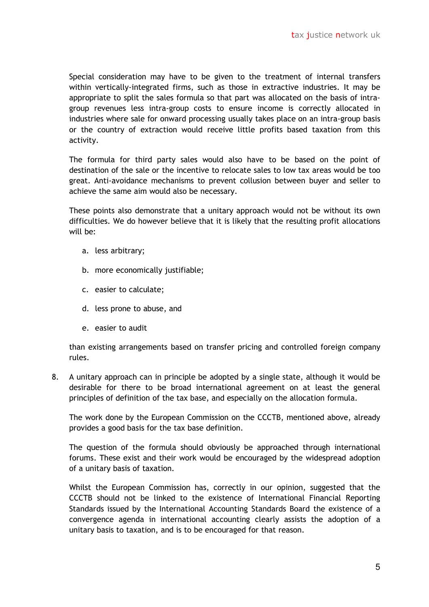Special consideration may have to be given to the treatment of internal transfers within vertically-integrated firms, such as those in extractive industries. It may be appropriate to split the sales formula so that part was allocated on the basis of intragroup revenues less intra-group costs to ensure income is correctly allocated in industries where sale for onward processing usually takes place on an intra-group basis or the country of extraction would receive little profits based taxation from this activity.

The formula for third party sales would also have to be based on the point of destination of the sale or the incentive to relocate sales to low tax areas would be too great. Anti-avoidance mechanisms to prevent collusion between buyer and seller to achieve the same aim would also be necessary.

These points also demonstrate that a unitary approach would not be without its own difficulties. We do however believe that it is likely that the resulting profit allocations will be:

- a. less arbitrary;
- b. more economically justifiable;
- c. easier to calculate;
- d. less prone to abuse, and
- e. easier to audit

than existing arrangements based on transfer pricing and controlled foreign company rules.

8. A unitary approach can in principle be adopted by a single state, although it would be desirable for there to be broad international agreement on at least the general principles of definition of the tax base, and especially on the allocation formula.

The work done by the European Commission on the CCCTB, mentioned above, already provides a good basis for the tax base definition.

The question of the formula should obviously be approached through international forums. These exist and their work would be encouraged by the widespread adoption of a unitary basis of taxation.

Whilst the European Commission has, correctly in our opinion, suggested that the CCCTB should not be linked to the existence of International Financial Reporting Standards issued by the International Accounting Standards Board the existence of a convergence agenda in international accounting clearly assists the adoption of a unitary basis to taxation, and is to be encouraged for that reason.